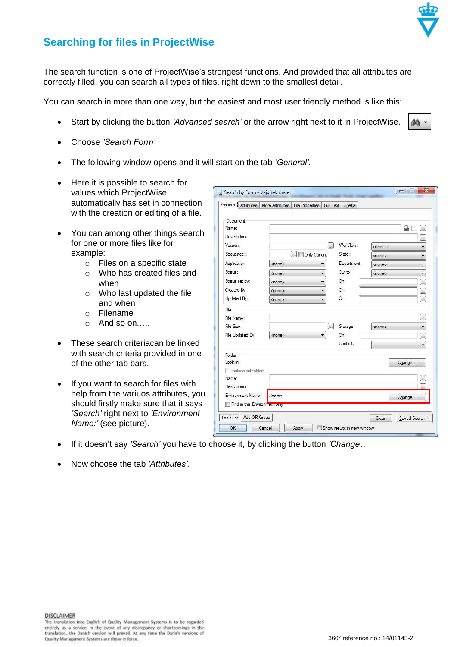

đΑ

## **Searching for files in ProjectWise**

The search function is one of ProjectWise's strongest functions. And provided that all attributes are correctly filled, you can search all types of files, right down to the smallest detail.

You can search in more than one way, but the easiest and most user friendly method is like this:

- Start by clicking the button *'Advanced search'* or the arrow right next to it in ProjectWise.
- Choose *'Search Form'*
- The following window opens and it will start on the tab *'General'*.
- Here it is possible to search for values which ProjectWise automatically has set in connection with the creation or editing of a file.
- You can among other things search for one or more files like for example:
	- o Files on a specific state
	- o Who has created files and when
	- o Who last updated the file and when
	- o Filename
	- o And so on.….
- These search criteriacan be linked with search criteria provided in one of the other tab bars.
- If you want to search for files with help from the variuos attributes, you should firstly make sure that it says *'Search'* right next to *'Environment Name:'* (see picture).

|                                                    |               | General Attributes   More Attributes   File Properties | Full Text   | Spatial     |               |                          |
|----------------------------------------------------|---------------|--------------------------------------------------------|-------------|-------------|---------------|--------------------------|
| Document                                           |               |                                                        |             |             |               |                          |
| Name:                                              |               |                                                        |             |             |               | a<br>ias.                |
| Description:                                       |               |                                                        |             |             |               | بنبا                     |
| Version:                                           |               |                                                        |             | Worldlow:   | <none></none> | ▼                        |
| Sequence:                                          |               | Only Current<br>L.                                     |             | State:      | <none></none> |                          |
| Application:                                       | <none></none> |                                                        |             | Department: | <none></none> | ▼                        |
| Status:                                            | <none></none> |                                                        |             | Out to:     | <none></none> | ▼                        |
| Status set by:                                     | <none></none> |                                                        |             | On:         |               | h.                       |
| Created By:                                        | <none></none> |                                                        |             | On:         |               | $\overline{\phantom{a}}$ |
| Updated By:                                        | <none></none> |                                                        |             | On:         |               | <b>Auto</b>              |
| File                                               |               |                                                        |             |             |               |                          |
| File Name:                                         |               |                                                        |             |             |               | С.                       |
| File Size:                                         |               |                                                        | <b>Line</b> | Storage:    | <none></none> | ۰                        |
| File Updated By:                                   | <none></none> |                                                        | ۰           | On:         |               | $\frac{1}{2}$            |
|                                                    |               |                                                        |             | Conflicts:  |               | ۰                        |
| Folder                                             |               |                                                        |             |             |               |                          |
| Look in                                            |               |                                                        |             |             |               | Change                   |
| Include subfolders                                 |               |                                                        |             |             |               |                          |
| Name:                                              |               |                                                        |             |             |               | (a)                      |
| Description:                                       |               |                                                        |             |             |               |                          |
| Environment Name:<br>Find in this Environment only | Search        |                                                        |             |             |               | Change                   |

- If it doesn't say *'Search'* you have to choose it, by clicking the button *'Change…'*
- Now choose the tab *'Attributes'.*

**DISCLAIMER** 

The translation into English of Quality Management Systems is to be regarded entirely as a service. In the event of any discrepancy or shortcomings in the existed y as a service. In the event of any discrepancy or shortcomings in the translation, the Danish version will prevail. At any time the Dan